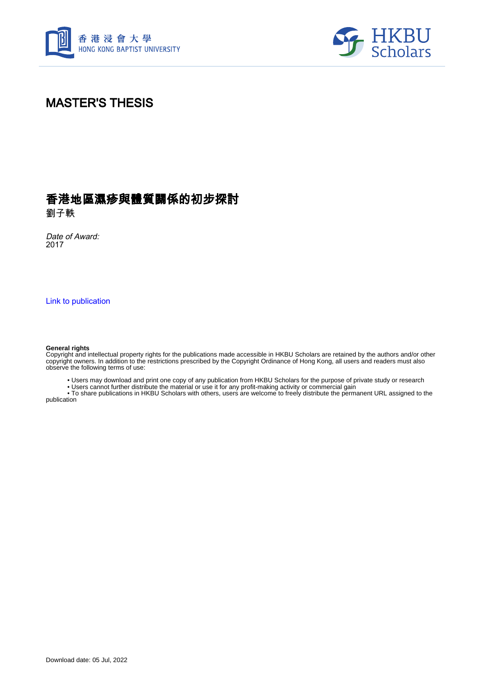



## MASTER'S THESIS

## 香港地區濕疹與體質關係的初步探討

劉子軼

Date of Award: 2017

[Link to publication](https://scholars.hkbu.edu.hk/en/studentTheses/89a9a1d6-2e92-4b86-9a18-4783528559b2)

## **General rights**

Copyright and intellectual property rights for the publications made accessible in HKBU Scholars are retained by the authors and/or other copyright owners. In addition to the restrictions prescribed by the Copyright Ordinance of Hong Kong, all users and readers must also observe the following terms of use:

• Users may download and print one copy of any publication from HKBU Scholars for the purpose of private study or research

• Users cannot further distribute the material or use it for any profit-making activity or commercial gain

 • To share publications in HKBU Scholars with others, users are welcome to freely distribute the permanent URL assigned to the publication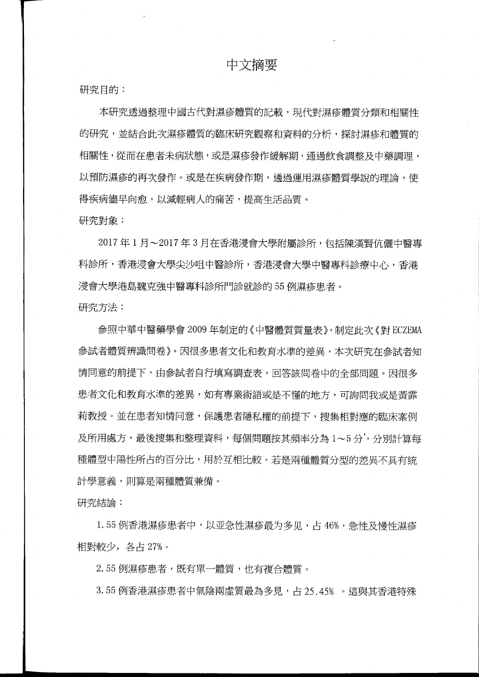研究目的:

本研究透過整理中國古代對濕疹體質的記載,現代對濕疹體質分類和相關性 的研究,並結合此次濕疹體質的臨床研究觀察和資料的分析,探討濕疹和體質的 相關性,從而在患者未病狀態,或是濕疹發作緩解期,通過飲食調整及中藥調理, 以預防濕疹的再次發作。或是在疾病發作期,通過運用濕疹體質學說的理論,使 得疾病儘早向愈,以減輕病人的痛苦,提高生活品質。

研究對象:

2017年1月~2017年3月在香港浸會大學附屬診所,包括陳漢腎伉儷中醫專 科診所,香港浸會大學中醫診所,香港浸會大學中醫專科診療中心,香港 浸會大學港島魏克強中醫專科診所門診就診的 <sup>55</sup> 例濕疹患者。 研究方法:

參照中華中醫藥學會 <sup>2009</sup> 年制定的〈中醫體質質量表〉,制定此次《對 ECZEMA 参試者體質辨識問卷》。因很多患者文化和教育水準的差異,本次研究在參試者知 情同意的前提下,由參試者自行填寫調查表,回答該問卷中的全部問題。因很多 患者文化和教育水準的差異,如有專業術語或是不懂的地方,可詢問我或是黃霏 莉教授。並在患者知情同意,保護患者隱私權的前提下,搜集相對應的臨床案例 及所用處方,最後搜集和整理資料,每個問題按其頻率分為 1~5 分,分別計算每 種體型中陽性所占的百分比,用於互相比較。若是兩種體質分型的差異不具有統 計學意義,則算是兩種體質兼備。

研究結論:

1.55 例香港濕疹患者中,以亚急性濕疹最为多见,占 46%, 急性及慢性濕疹 相對較少, 各占 27%。

2.55 例濕疹患者,既有單一體質,也有複合體質。

3.55 例香港濕疹患者中氣陰兩虛質最為多見,占 25.45% 。這與其香港特殊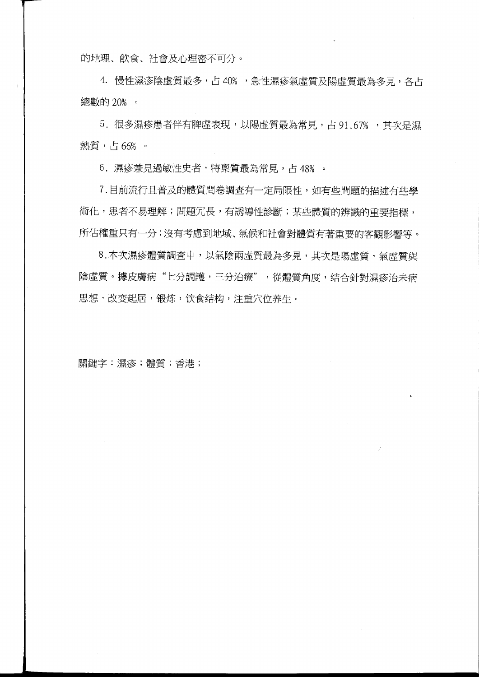的地理、飲食、社會及心理密不可分。

4. 慢性濕疹陰虛質最多,占 40%,急性濕疹氣虛質及陽虛質最為多見,各占 總數的 20%

5. 很多濕疹患者伴有脾虛表現,以陽虛質最為常見,占 91.67%,其次是濕 熱質,占66%。

6. 濕疹兼見過敏性史者,特稟質最為常見,占 48%。

7. 目前流行且普及的體質問卷調查有一定局限性,如有些問題的描述有些學 術化,患者不易理解;問題冗長,有誘導性診斷;某些體質的辨識的重要指標, 所佔權重只有一分;沒有考慮到地域、氣候和社會對體質有著重要的客觀影響等。

8. 本次濕疹體質調查中,以氣陰兩虛質最為多見,其次是陽虛質,氣虛質與 陰虛質。據皮膚病"七分調護,三分治療",從體質角度,结合針對濕疹治未病 思想,改变起居,锻炼,饮食结构,注重穴位养生。

關鍵字:濕疹;體質;香港;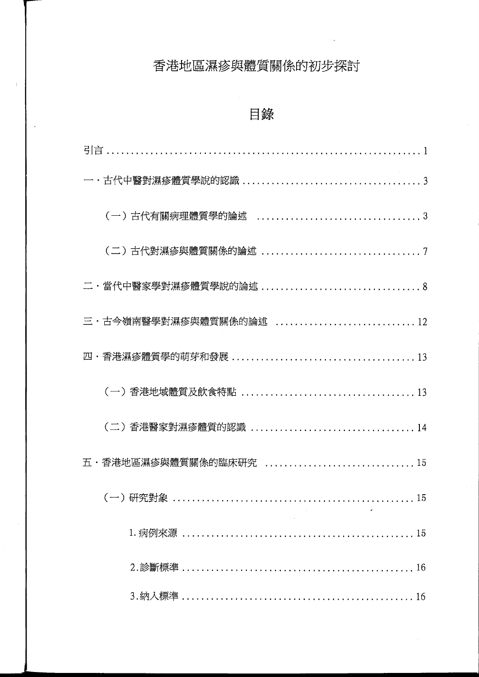## 香港地區濕疹與體質關係的初步探討